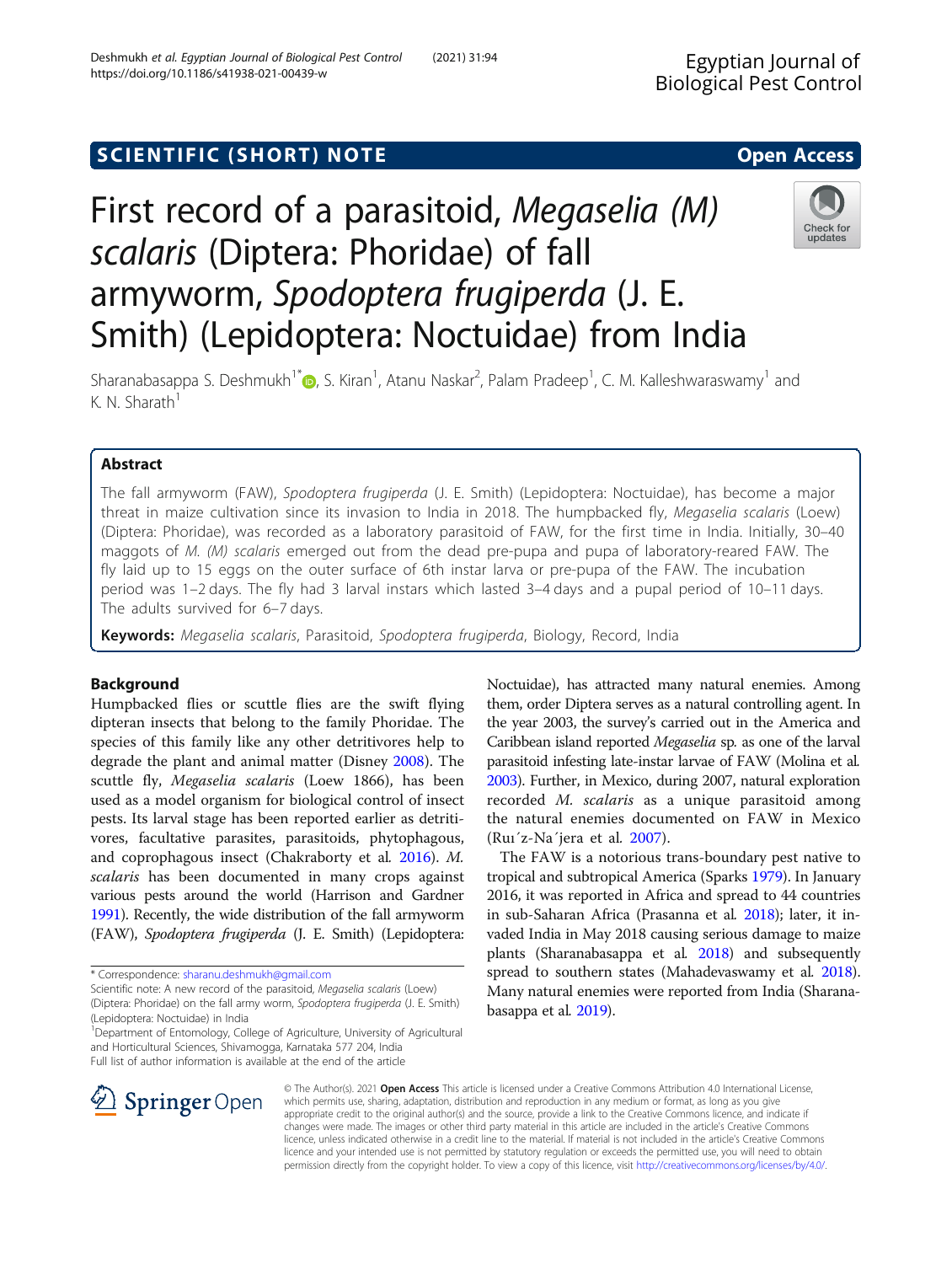## SCIENTIFIC (SHORT) NOTE And the open Access open Access

# First record of a parasitoid, Megaselia (M) scalaris (Diptera: Phoridae) of fall armyworm, Spodoptera frugiperda (J. E. Smith) (Lepidoptera: Noctuidae) from India

Sharanabasappa S. Deshmukh<sup>1\*</sup> (b[,](http://orcid.org/0000-0001-7447-0126) S. Kiran<sup>1</sup>, Atanu Naskar<sup>2</sup>, Palam Pradeep<sup>1</sup>, C. M. Kalleshwaraswamy<sup>1</sup> and K. N. Sharath<sup>1</sup>

## Abstract

The fall armyworm (FAW), Spodoptera frugiperda (J. E. Smith) (Lepidoptera: Noctuidae), has become a major threat in maize cultivation since its invasion to India in 2018. The humpbacked fly, Megaselia scalaris (Loew) (Diptera: Phoridae), was recorded as a laboratory parasitoid of FAW, for the first time in India. Initially, 30–40 maggots of M. (M) scalaris emerged out from the dead pre-pupa and pupa of laboratory-reared FAW. The fly laid up to 15 eggs on the outer surface of 6th instar larva or pre-pupa of the FAW. The incubation period was 1–2 days. The fly had 3 larval instars which lasted 3–4 days and a pupal period of 10–11 days. The adults survived for 6–7 days.

Keywords: Megaselia scalaris, Parasitoid, Spodoptera frugiperda, Biology, Record, India

## Background

Humpbacked flies or scuttle flies are the swift flying dipteran insects that belong to the family Phoridae. The species of this family like any other detritivores help to degrade the plant and animal matter (Disney [2008\)](#page-2-0). The scuttle fly, Megaselia scalaris (Loew 1866), has been used as a model organism for biological control of insect pests. Its larval stage has been reported earlier as detritivores, facultative parasites, parasitoids, phytophagous, and coprophagous insect (Chakraborty et al. [2016\)](#page-2-0). M. scalaris has been documented in many crops against various pests around the world (Harrison and Gardner [1991\)](#page-2-0). Recently, the wide distribution of the fall armyworm (FAW), Spodoptera frugiperda (J. E. Smith) (Lepidoptera:

\* Correspondence: [sharanu.deshmukh@gmail.com](mailto:sharanu.deshmukh@gmail.com)

 $\mathscr{L}$  Springer Open

Scientific note: A new record of the parasitoid, Megaselia scalaris (Loew)

<sup>1</sup>Department of Entomology, College of Agriculture, University of Agricultural and Horticultural Sciences, Shivamogga, Karnataka 577 204, India Full list of author information is available at the end of the article

Noctuidae), has attracted many natural enemies. Among them, order Diptera serves as a natural controlling agent. In the year 2003, the survey's carried out in the America and Caribbean island reported Megaselia sp. as one of the larval parasitoid infesting late-instar larvae of FAW (Molina et al. [2003\)](#page-2-0). Further, in Mexico, during 2007, natural exploration recorded M. scalaris as a unique parasitoid among the natural enemies documented on FAW in Mexico (Ruı´z-Na´jera et al. [2007](#page-3-0)).

The FAW is a notorious trans-boundary pest native to tropical and subtropical America (Sparks [1979\)](#page-3-0). In January 2016, it was reported in Africa and spread to 44 countries in sub-Saharan Africa (Prasanna et al. [2018\)](#page-3-0); later, it invaded India in May 2018 causing serious damage to maize plants (Sharanabasappa et al. [2018](#page-3-0)) and subsequently spread to southern states (Mahadevaswamy et al. [2018](#page-2-0)). Many natural enemies were reported from India (Sharanabasappa et al. [2019](#page-3-0)).

© The Author(s). 2021 Open Access This article is licensed under a Creative Commons Attribution 4.0 International License, which permits use, sharing, adaptation, distribution and reproduction in any medium or format, as long as you give appropriate credit to the original author(s) and the source, provide a link to the Creative Commons licence, and indicate if changes were made. The images or other third party material in this article are included in the article's Creative Commons licence, unless indicated otherwise in a credit line to the material. If material is not included in the article's Creative Commons licence and your intended use is not permitted by statutory regulation or exceeds the permitted use, you will need to obtain permission directly from the copyright holder. To view a copy of this licence, visit <http://creativecommons.org/licenses/by/4.0/>.





<sup>(</sup>Diptera: Phoridae) on the fall army worm, Spodoptera frugiperda (J. E. Smith) (Lepidoptera: Noctuidae) in India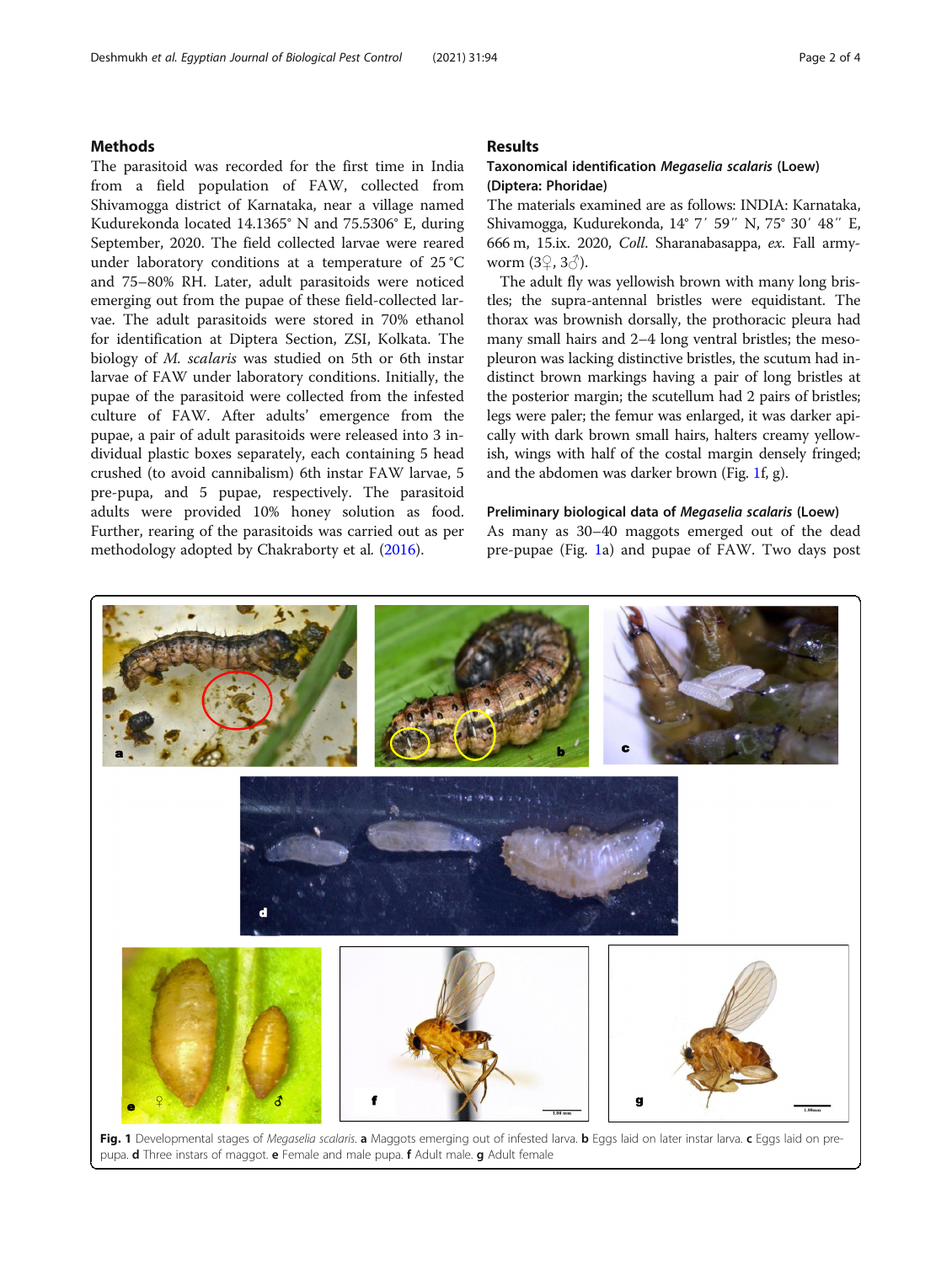### <span id="page-1-0"></span>Methods

The parasitoid was recorded for the first time in India from a field population of FAW, collected from Shivamogga district of Karnataka, near a village named Kudurekonda located 14.1365° N and 75.5306° E, during September, 2020. The field collected larvae were reared under laboratory conditions at a temperature of 25 °C and 75–80% RH. Later, adult parasitoids were noticed emerging out from the pupae of these field-collected larvae. The adult parasitoids were stored in 70% ethanol for identification at Diptera Section, ZSI, Kolkata. The biology of M. scalaris was studied on 5th or 6th instar larvae of FAW under laboratory conditions. Initially, the pupae of the parasitoid were collected from the infested culture of FAW. After adults' emergence from the pupae, a pair of adult parasitoids were released into 3 individual plastic boxes separately, each containing 5 head crushed (to avoid cannibalism) 6th instar FAW larvae, 5 pre-pupa, and 5 pupae, respectively. The parasitoid adults were provided 10% honey solution as food. Further, rearing of the parasitoids was carried out as per methodology adopted by Chakraborty et al. [\(2016](#page-2-0)).

## Results

## Taxonomical identification Megaselia scalaris (Loew) (Diptera: Phoridae)

The materials examined are as follows: INDIA: Karnataka, Shivamogga, Kudurekonda, 14° 7′ 59″ N, 75° 30′ 48″ E, 666 m, 15.ix. 2020, Coll. Sharanabasappa, ex. Fall armyworm  $(3\sqrt{2}, 3\sqrt{2})$ .

The adult fly was yellowish brown with many long bristles; the supra-antennal bristles were equidistant. The thorax was brownish dorsally, the prothoracic pleura had many small hairs and 2–4 long ventral bristles; the mesopleuron was lacking distinctive bristles, the scutum had indistinct brown markings having a pair of long bristles at the posterior margin; the scutellum had 2 pairs of bristles; legs were paler; the femur was enlarged, it was darker apically with dark brown small hairs, halters creamy yellowish, wings with half of the costal margin densely fringed; and the abdomen was darker brown (Fig. 1f, g).

#### Preliminary biological data of Megaselia scalaris (Loew)

As many as 30–40 maggots emerged out of the dead pre-pupae (Fig. 1a) and pupae of FAW. Two days post



Fig. 1 Developmental stages of Megaselia scalaris. a Maggots emerging out of infested larva. b Eggs laid on later instar larva. c Eggs laid on prepupa. d Three instars of maggot. e Female and male pupa. f Adult male. g Adult female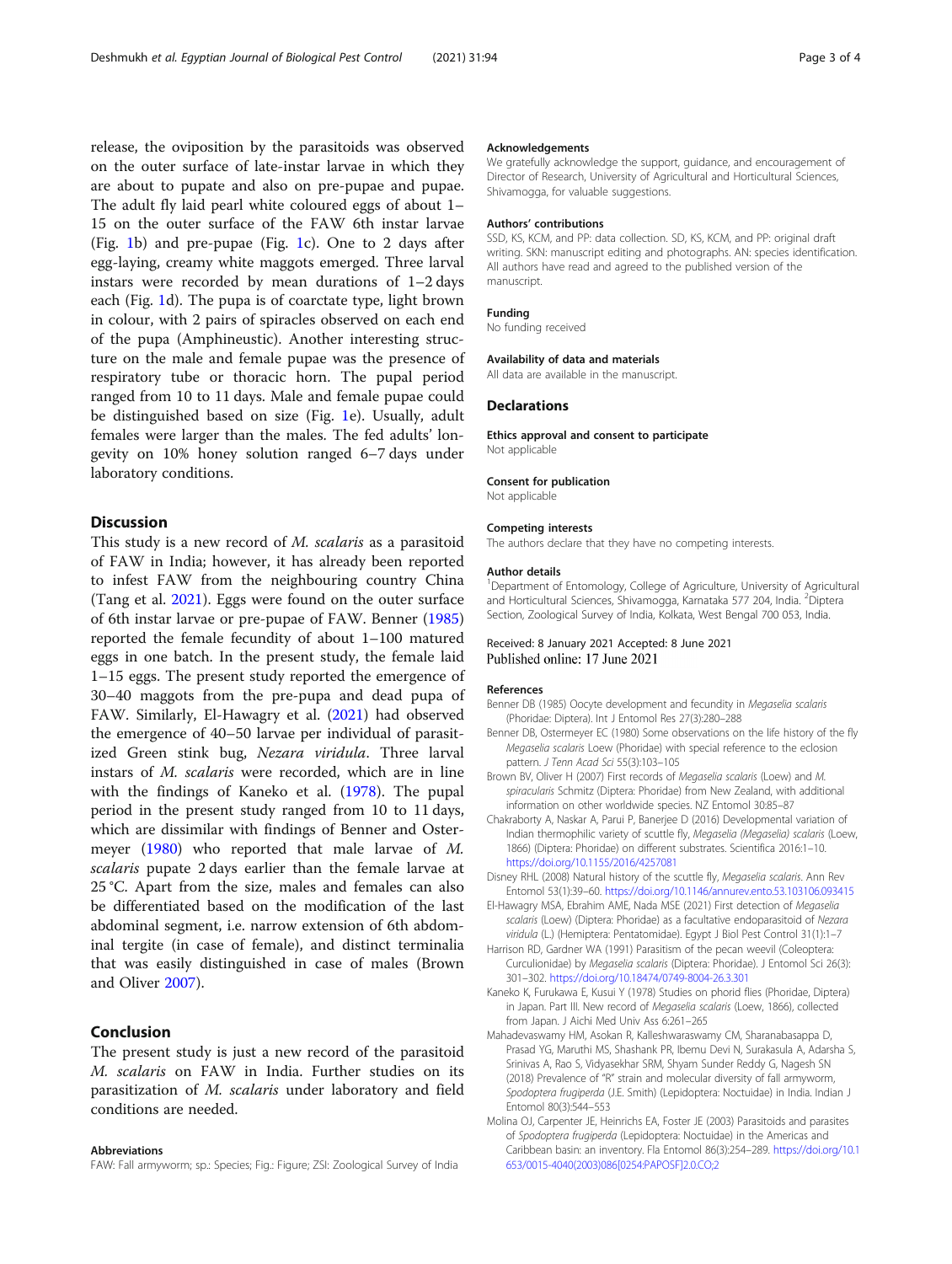<span id="page-2-0"></span>release, the oviposition by the parasitoids was observed on the outer surface of late-instar larvae in which they are about to pupate and also on pre-pupae and pupae. The adult fly laid pearl white coloured eggs of about 1– 15 on the outer surface of the FAW 6th instar larvae (Fig. [1](#page-1-0)b) and pre-pupae (Fig. [1](#page-1-0)c). One to 2 days after egg-laying, creamy white maggots emerged. Three larval instars were recorded by mean durations of 1–2 days each (Fig. [1d](#page-1-0)). The pupa is of coarctate type, light brown in colour, with 2 pairs of spiracles observed on each end of the pupa (Amphineustic). Another interesting structure on the male and female pupae was the presence of respiratory tube or thoracic horn. The pupal period ranged from 10 to 11 days. Male and female pupae could be distinguished based on size (Fig. [1e](#page-1-0)). Usually, adult females were larger than the males. The fed adults' longevity on 10% honey solution ranged 6–7 days under laboratory conditions.

## **Discussion**

This study is a new record of M. scalaris as a parasitoid of FAW in India; however, it has already been reported to infest FAW from the neighbouring country China (Tang et al. [2021\)](#page-3-0). Eggs were found on the outer surface of 6th instar larvae or pre-pupae of FAW. Benner (1985) reported the female fecundity of about 1–100 matured eggs in one batch. In the present study, the female laid 1–15 eggs. The present study reported the emergence of 30–40 maggots from the pre-pupa and dead pupa of FAW. Similarly, El-Hawagry et al. (2021) had observed the emergence of 40–50 larvae per individual of parasitized Green stink bug, Nezara viridula. Three larval instars of M. scalaris were recorded, which are in line with the findings of Kaneko et al. (1978). The pupal period in the present study ranged from 10 to 11 days, which are dissimilar with findings of Benner and Ostermeyer (1980) who reported that male larvae of M. scalaris pupate 2 days earlier than the female larvae at 25 °C. Apart from the size, males and females can also be differentiated based on the modification of the last abdominal segment, i.e. narrow extension of 6th abdominal tergite (in case of female), and distinct terminalia that was easily distinguished in case of males (Brown and Oliver 2007).

## Conclusion

The present study is just a new record of the parasitoid M. scalaris on FAW in India. Further studies on its parasitization of M. scalaris under laboratory and field conditions are needed.

#### Abbreviations

FAW: Fall armyworm; sp.: Species; Fig.: Figure; ZSI: Zoological Survey of India

#### Acknowledgements

We gratefully acknowledge the support, guidance, and encouragement of Director of Research, University of Agricultural and Horticultural Sciences, Shivamogga, for valuable suggestions.

#### Authors' contributions

SSD, KS, KCM, and PP: data collection. SD, KS, KCM, and PP: original draft writing. SKN: manuscript editing and photographs. AN: species identification. All authors have read and agreed to the published version of the manuscript.

#### Funding

No funding received

#### Availability of data and materials

All data are available in the manuscript.

#### Declarations

Ethics approval and consent to participate Not applicable

#### Consent for publication

Not applicable

#### Competing interests

The authors declare that they have no competing interests.

#### Author details

<sup>1</sup>Department of Entomology, College of Agriculture, University of Agricultural and Horticultural Sciences, Shivamogga, Karnataka 577 204, India. <sup>2</sup>Diptera Section, Zoological Survey of India, Kolkata, West Bengal 700 053, India.

#### Received: 8 January 2021 Accepted: 8 June 2021 Published online: 17 June 2021

#### References

- Benner DB (1985) Oocyte development and fecundity in Megaselia scalaris (Phoridae: Diptera). Int J Entomol Res 27(3):280–288
- Benner DB, Ostermeyer EC (1980) Some observations on the life history of the fly Megaselia scalaris Loew (Phoridae) with special reference to the eclosion pattern. J Tenn Acad Sci 55(3):103–105
- Brown BV, Oliver H (2007) First records of Megaselia scalaris (Loew) and M. spiracularis Schmitz (Diptera: Phoridae) from New Zealand, with additional information on other worldwide species. NZ Entomol 30:85–87
- Chakraborty A, Naskar A, Parui P, Banerjee D (2016) Developmental variation of Indian thermophilic variety of scuttle fly, Megaselia (Megaselia) scalaris (Loew, 1866) (Diptera: Phoridae) on different substrates. Scientifica 2016:1–10. <https://doi.org/10.1155/2016/4257081>
- Disney RHL (2008) Natural history of the scuttle fly, Megaselia scalaris. Ann Rev Entomol 53(1):39–60. <https://doi.org/10.1146/annurev.ento.53.103106.093415>
- El-Hawagry MSA, Ebrahim AME, Nada MSE (2021) First detection of Megaselia scalaris (Loew) (Diptera: Phoridae) as a facultative endoparasitoid of Nezara viridula (L.) (Hemiptera: Pentatomidae). Egypt J Biol Pest Control 31(1):1–7
- Harrison RD, Gardner WA (1991) Parasitism of the pecan weevil (Coleoptera: Curculionidae) by Megaselia scalaris (Diptera: Phoridae). J Entomol Sci 26(3): 301–302. <https://doi.org/10.18474/0749-8004-26.3.301>
- Kaneko K, Furukawa E, Kusui Y (1978) Studies on phorid flies (Phoridae, Diptera) in Japan. Part III. New record of Megaselia scalaris (Loew, 1866), collected from Japan. J Aichi Med Univ Ass 6:261–265
- Mahadevaswamy HM, Asokan R, Kalleshwaraswamy CM, Sharanabasappa D, Prasad YG, Maruthi MS, Shashank PR, Ibemu Devi N, Surakasula A, Adarsha S, Srinivas A, Rao S, Vidyasekhar SRM, Shyam Sunder Reddy G, Nagesh SN (2018) Prevalence of "R" strain and molecular diversity of fall armyworm, Spodoptera frugiperda (J.E. Smith) (Lepidoptera: Noctuidae) in India. Indian J Entomol 80(3):544–553
- Molina OJ, Carpenter JE, Heinrichs EA, Foster JE (2003) Parasitoids and parasites of Spodoptera frugiperda (Lepidoptera: Noctuidae) in the Americas and Caribbean basin: an inventory. Fla Entomol 86(3):254–289. [https://doi.org/10.1](https://doi.org/10.1653/0015-4040(2003)086[0254:PAPOSF]2.0.CO;2) [653/0015-4040\(2003\)086\[0254:PAPOSF\]2.0.CO;2](https://doi.org/10.1653/0015-4040(2003)086[0254:PAPOSF]2.0.CO;2)